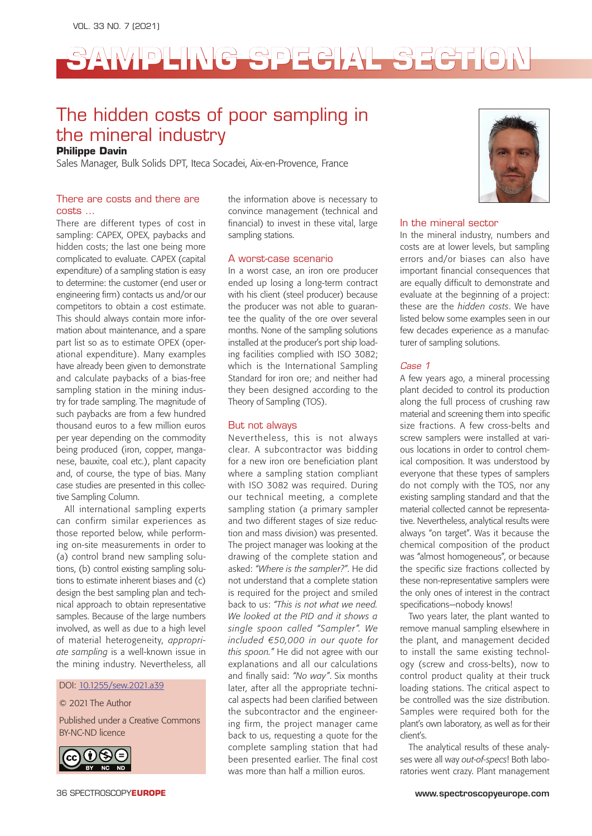# **SAMPLING SPECIAL SECTION**

### The hidden costs of poor sampling in the mineral industry

### **Philippe Davin**

Sales Manager, Bulk Solids DPT, Iteca Socadei, Aix-en-Provence, France

### There are costs and there are costs …

There are different types of cost in sampling: CAPEX, OPEX, paybacks and hidden costs; the last one being more complicated to evaluate. CAPEX (capital expenditure) of a sampling station is easy to determine: the customer (end user or engineering firm) contacts us and/or our competitors to obtain a cost estimate. This should always contain more information about maintenance, and a spare part list so as to estimate OPEX (operational expenditure). Many examples have already been given to demonstrate and calculate paybacks of a bias-free sampling station in the mining industry for trade sampling. The magnitude of such paybacks are from a few hundred thousand euros to a few million euros per year depending on the commodity being produced (iron, copper, manganese, bauxite, coal etc.), plant capacity and, of course, the type of bias. Many case studies are presented in this collective Sampling Column.

All international sampling experts can confirm similar experiences as those reported below, while performing on-site measurements in order to (a) control brand new sampling solutions, (b) control existing sampling solutions to estimate inherent biases and (c) design the best sampling plan and technical approach to obtain representative samples. Because of the large numbers involved, as well as due to a high level of material heterogeneity, *appropriate sampling* is a well-known issue in the mining industry. Nevertheless, all

DOI: [10.1255/sew.2021.a3](https://doi.org/10.1255/sew.2021.a39)9

© 2021 The Author

Published under a Creative Commons BY-NC-ND licence



the information above is necessary to convince management (technical and financial) to invest in these vital, large sampling stations.

### A worst-case scenario

In a worst case, an iron ore producer ended up losing a long-term contract with his client (steel producer) because the producer was not able to guarantee the quality of the ore over several months. None of the sampling solutions installed at the producer's port ship loading facilities complied with ISO 3082; which is the International Sampling Standard for iron ore; and neither had they been designed according to the Theory of Sampling (TOS).

### But not always

Nevertheless, this is not always clear. A subcontractor was bidding for a new iron ore beneficiation plant where a sampling station compliant with ISO 3082 was required. During our technical meeting, a complete sampling station (a primary sampler and two different stages of size reduction and mass division) was presented. The project manager was looking at the drawing of the complete station and asked: *"Where is the sampler?"*. He did not understand that a complete station is required for the project and smiled back to us: *"This is not what we need. We looked at the PID and it shows a single spoon called "Sampler". We included €50,000 in our quote for this spoon."* He did not agree with our explanations and all our calculations and finally said: *"No way"*. Six months later, after all the appropriate technical aspects had been clarified between the subcontractor and the engineering firm, the project manager came back to us, requesting a quote for the complete sampling station that had been presented earlier. The final cost was more than half a million euros.



### In the mineral sector

In the mineral industry, numbers and costs are at lower levels, but sampling errors and/or biases can also have important financial consequences that are equally difficult to demonstrate and evaluate at the beginning of a project: these are the *hidden costs*. We have listed below some examples seen in our few decades experience as a manufacturer of sampling solutions.

### *Case 1*

A few years ago, a mineral processing plant decided to control its production along the full process of crushing raw material and screening them into specific size fractions. A few cross-belts and screw samplers were installed at various locations in order to control chemical composition. It was understood by everyone that these types of samplers do not comply with the TOS, nor any existing sampling standard and that the material collected cannot be representative. Nevertheless, analytical results were always "on target". Was it because the chemical composition of the product was "almost homogeneous", or because the specific size fractions collected by these non-representative samplers were the only ones of interest in the contract specifications—nobody knows!

Two years later, the plant wanted to remove manual sampling elsewhere in the plant, and management decided to install the same existing technology (screw and cross-belts), now to control product quality at their truck loading stations. The critical aspect to be controlled was the size distribution. Samples were required both for the plant's own laboratory, as well as for their client's.

The analytical results of these analyses were all way *out-of-specs*! Both laboratories went crazy. Plant management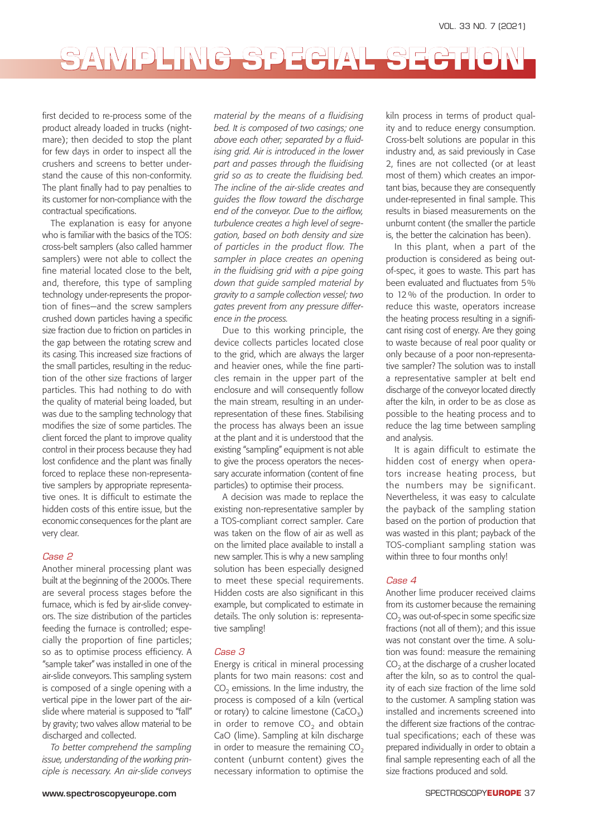# SAMPLING SPECIAL SECTIO

first decided to re-process some of the product already loaded in trucks (nightmare); then decided to stop the plant for few days in order to inspect all the crushers and screens to better understand the cause of this non-conformity. The plant finally had to pay penalties to its customer for non-compliance with the contractual specifications.

The explanation is easy for anyone who is familiar with the basics of the TOS: cross-belt samplers (also called hammer samplers) were not able to collect the fine material located close to the belt, and, therefore, this type of sampling technology under-represents the proportion of fines—and the screw samplers crushed down particles having a specific size fraction due to friction on particles in the gap between the rotating screw and its casing. This increased size fractions of the small particles, resulting in the reduction of the other size fractions of larger particles. This had nothing to do with the quality of material being loaded, but was due to the sampling technology that modifies the size of some particles. The client forced the plant to improve quality control in their process because they had lost confidence and the plant was finally forced to replace these non-representative samplers by appropriate representative ones. It is difficult to estimate the hidden costs of this entire issue, but the economic consequences for the plant are very clear.

#### *Case 2*

Another mineral processing plant was built at the beginning of the 2000s. There are several process stages before the furnace, which is fed by air-slide conveyors. The size distribution of the particles feeding the furnace is controlled; especially the proportion of fine particles; so as to optimise process efficiency. A "sample taker" was installed in one of the air-slide conveyors. This sampling system is composed of a single opening with a vertical pipe in the lower part of the airslide where material is supposed to "fall" by gravity; two valves allow material to be discharged and collected.

*To better comprehend the sampling issue, understanding of the working principle is necessary. An air-slide conveys*  *material by the means of a fluidising bed. It is composed of two casings; one above each other; separated by a fluidising grid. Air is introduced in the lower part and passes through the fluidising grid so as to create the fluidising bed. The incline of the air-slide creates and guides the flow toward the discharge end of the conveyor. Due to the airflow, turbulence creates a high level of segregation, based on both density and size of particles in the product flow. The sampler in place creates an opening in the fluidising grid with a pipe going down that guide sampled material by gravity to a sample collection vessel; two gates prevent from any pressure difference in the process.*

Due to this working principle, the device collects particles located close to the grid, which are always the larger and heavier ones, while the fine particles remain in the upper part of the enclosure and will consequently follow the main stream, resulting in an underrepresentation of these fines. Stabilising the process has always been an issue at the plant and it is understood that the existing "sampling" equipment is not able to give the process operators the necessary accurate information (content of fine particles) to optimise their process.

A decision was made to replace the existing non-representative sampler by a TOS-compliant correct sampler. Care was taken on the flow of air as well as on the limited place available to install a new sampler. This is why a new sampling solution has been especially designed to meet these special requirements. Hidden costs are also significant in this example, but complicated to estimate in details. The only solution is: representative sampling!

### *Case 3*

Energy is critical in mineral processing plants for two main reasons: cost and  $CO<sub>2</sub>$  emissions. In the lime industry, the process is composed of a kiln (vertical or rotary) to calcine limestone  $(CaCO<sub>3</sub>)$ in order to remove  $CO<sub>2</sub>$  and obtain CaO (lime). Sampling at kiln discharge in order to measure the remaining  $CO<sub>2</sub>$ content (unburnt content) gives the necessary information to optimise the kiln process in terms of product quality and to reduce energy consumption. Cross-belt solutions are popular in this industry and, as said previously in Case 2, fines are not collected (or at least most of them) which creates an important bias, because they are consequently under-represented in final sample. This results in biased measurements on the unburnt content (the smaller the particle is, the better the calcination has been).

In this plant, when a part of the production is considered as being outof-spec, it goes to waste. This part has been evaluated and fluctuates from 5% to 12 % of the production. In order to reduce this waste, operators increase the heating process resulting in a significant rising cost of energy. Are they going to waste because of real poor quality or only because of a poor non-representative sampler? The solution was to install a representative sampler at belt end discharge of the conveyor located directly after the kiln, in order to be as close as possible to the heating process and to reduce the lag time between sampling and analysis.

It is again difficult to estimate the hidden cost of energy when operators increase heating process, but the numbers may be significant. Nevertheless, it was easy to calculate the payback of the sampling station based on the portion of production that was wasted in this plant; payback of the TOS-compliant sampling station was within three to four months only!

### *Case 4*

Another lime producer received claims from its customer because the remaining  $CO<sub>2</sub>$  was out-of-spec in some specific size fractions (not all of them); and this issue was not constant over the time. A solution was found: measure the remaining  $CO<sub>2</sub>$  at the discharge of a crusher located after the kiln, so as to control the quality of each size fraction of the lime sold to the customer. A sampling station was installed and increments screened into the different size fractions of the contractual specifications; each of these was prepared individually in order to obtain a final sample representing each of all the size fractions produced and sold.